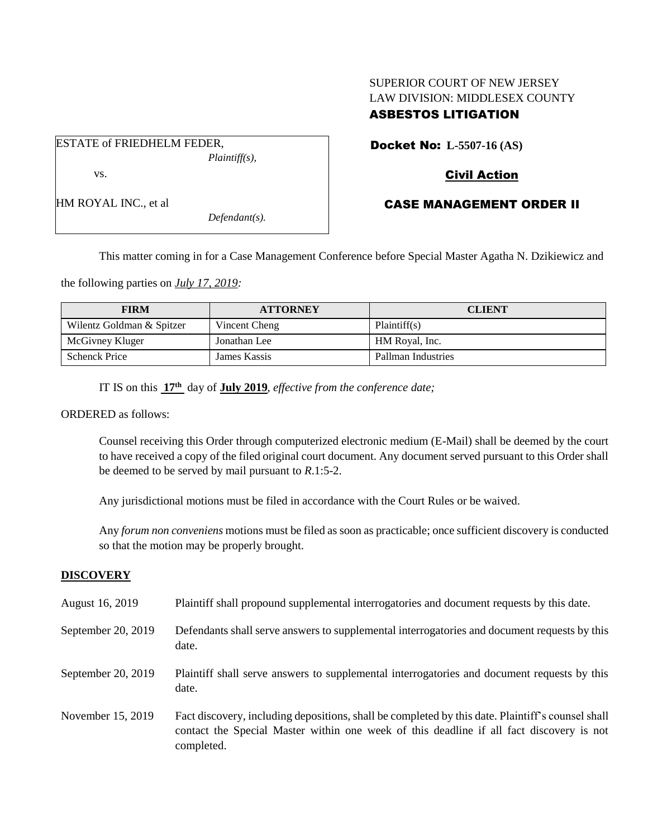# SUPERIOR COURT OF NEW JERSEY LAW DIVISION: MIDDLESEX COUNTY ASBESTOS LITIGATION

| ESTATE of FRIEDHELM FEDER, |                  |
|----------------------------|------------------|
|                            | $Plaintiff(s)$ , |
| VS.                        |                  |
| HM ROYAL INC., et al       |                  |

*Defendant(s).*

Docket No: **L-5507-16 (AS)** 

# Civil Action

# CASE MANAGEMENT ORDER II

This matter coming in for a Case Management Conference before Special Master Agatha N. Dzikiewicz and

the following parties on *July 17, 2019:*

| <b>FIRM</b>               | <b>ATTORNEY</b> | <b>CLIENT</b>      |
|---------------------------|-----------------|--------------------|
| Wilentz Goldman & Spitzer | Vincent Cheng   | Plaintiff(s)       |
| McGivney Kluger           | Jonathan Lee    | HM Royal, Inc.     |
| <b>Schenck Price</b>      | James Kassis    | Pallman Industries |

IT IS on this **17th** day of **July 2019**, *effective from the conference date;*

ORDERED as follows:

Counsel receiving this Order through computerized electronic medium (E-Mail) shall be deemed by the court to have received a copy of the filed original court document. Any document served pursuant to this Order shall be deemed to be served by mail pursuant to *R*.1:5-2.

Any jurisdictional motions must be filed in accordance with the Court Rules or be waived.

Any *forum non conveniens* motions must be filed as soon as practicable; once sufficient discovery is conducted so that the motion may be properly brought.

## **DISCOVERY**

August 16, 2019 Plaintiff shall propound supplemental interrogatories and document requests by this date. September 20, 2019 Defendants shall serve answers to supplemental interrogatories and document requests by this date. September 20, 2019 Plaintiff shall serve answers to supplemental interrogatories and document requests by this date. November 15, 2019 Fact discovery, including depositions, shall be completed by this date. Plaintiff's counsel shall contact the Special Master within one week of this deadline if all fact discovery is not completed.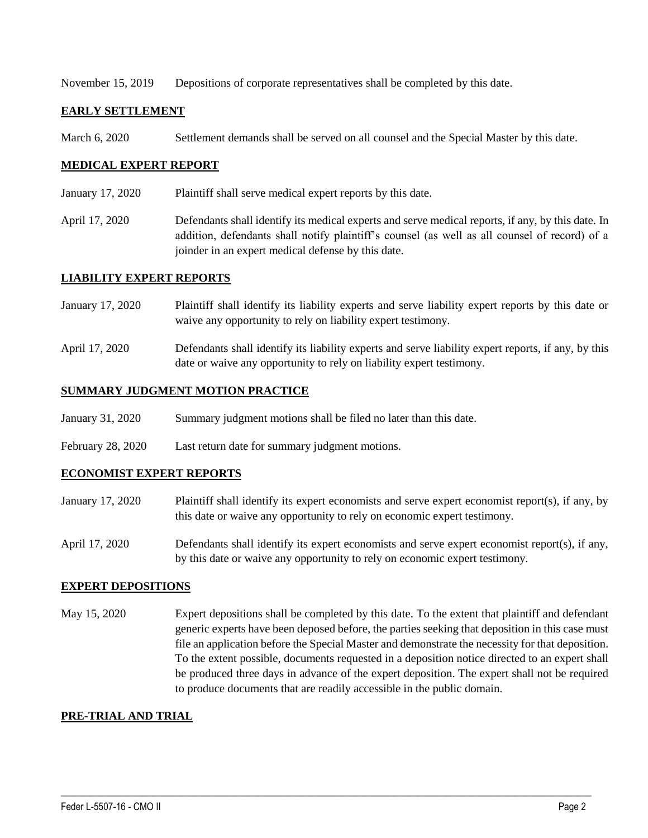November 15, 2019 Depositions of corporate representatives shall be completed by this date.

## **EARLY SETTLEMENT**

March 6, 2020 Settlement demands shall be served on all counsel and the Special Master by this date.

## **MEDICAL EXPERT REPORT**

- January 17, 2020 Plaintiff shall serve medical expert reports by this date.
- April 17, 2020 Defendants shall identify its medical experts and serve medical reports, if any, by this date. In addition, defendants shall notify plaintiff's counsel (as well as all counsel of record) of a joinder in an expert medical defense by this date.

#### **LIABILITY EXPERT REPORTS**

- January 17, 2020 Plaintiff shall identify its liability experts and serve liability expert reports by this date or waive any opportunity to rely on liability expert testimony.
- April 17, 2020 Defendants shall identify its liability experts and serve liability expert reports, if any, by this date or waive any opportunity to rely on liability expert testimony.

## **SUMMARY JUDGMENT MOTION PRACTICE**

- January 31, 2020 Summary judgment motions shall be filed no later than this date.
- February 28, 2020 Last return date for summary judgment motions.

## **ECONOMIST EXPERT REPORTS**

- January 17, 2020 Plaintiff shall identify its expert economists and serve expert economist report(s), if any, by this date or waive any opportunity to rely on economic expert testimony.
- April 17, 2020 Defendants shall identify its expert economists and serve expert economist report(s), if any, by this date or waive any opportunity to rely on economic expert testimony.

## **EXPERT DEPOSITIONS**

May 15, 2020 Expert depositions shall be completed by this date. To the extent that plaintiff and defendant generic experts have been deposed before, the parties seeking that deposition in this case must file an application before the Special Master and demonstrate the necessity for that deposition. To the extent possible, documents requested in a deposition notice directed to an expert shall be produced three days in advance of the expert deposition. The expert shall not be required to produce documents that are readily accessible in the public domain.

 $\_$  , and the set of the set of the set of the set of the set of the set of the set of the set of the set of the set of the set of the set of the set of the set of the set of the set of the set of the set of the set of th

## **PRE-TRIAL AND TRIAL**